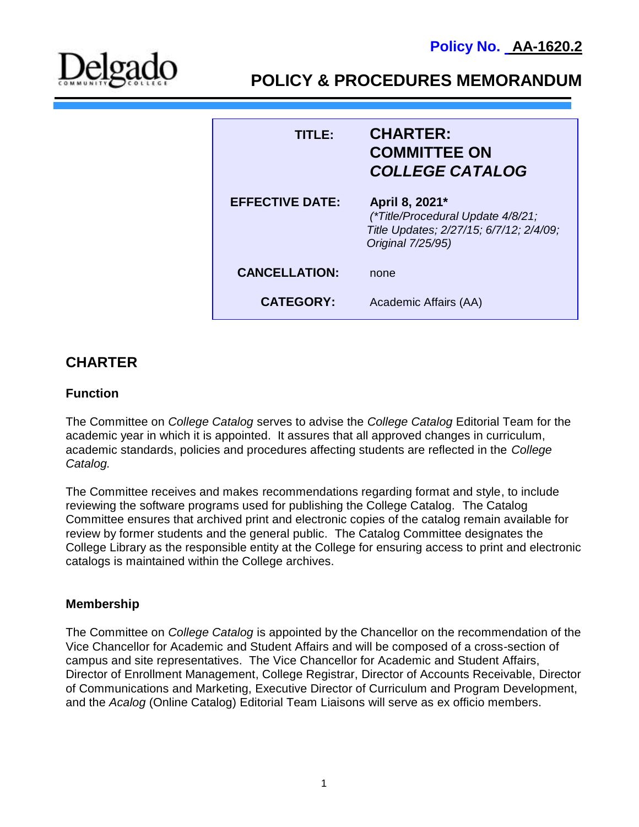

**P**

**POLICY & PROCEDURES MEMORANDUM**

| TITLE:                 | <b>CHARTER:</b><br><b>COMMITTEE ON</b><br><b>COLLEGE CATALOG</b>                                                    |
|------------------------|---------------------------------------------------------------------------------------------------------------------|
| <b>EFFECTIVE DATE:</b> | April 8, 2021*<br>(*Title/Procedural Update 4/8/21;<br>Title Updates; 2/27/15; 6/7/12; 2/4/09;<br>Original 7/25/95) |
| <b>CANCELLATION:</b>   | none                                                                                                                |
| <b>CATEGORY:</b>       | Academic Affairs (AA)                                                                                               |

# **CHARTER**

#### **Function**

The Committee on *College Catalog* serves to advise the *College Catalog* Editorial Team for the academic year in which it is appointed. It assures that all approved changes in curriculum, academic standards, policies and procedures affecting students are reflected in the *College Catalog.* 

The Committee receives and makes recommendations regarding format and style, to include reviewing the software programs used for publishing the College Catalog. The Catalog Committee ensures that archived print and electronic copies of the catalog remain available for review by former students and the general public. The Catalog Committee designates the College Library as the responsible entity at the College for ensuring access to print and electronic catalogs is maintained within the College archives.

# **Membership**

The Committee on *College Catalog* is appointed by the Chancellor on the recommendation of the Vice Chancellor for Academic and Student Affairs and will be composed of a cross-section of campus and site representatives. The Vice Chancellor for Academic and Student Affairs, Director of Enrollment Management, College Registrar, Director of Accounts Receivable, Director of Communications and Marketing, Executive Director of Curriculum and Program Development, and the *Acalog* (Online Catalog) Editorial Team Liaisons will serve as ex officio members.